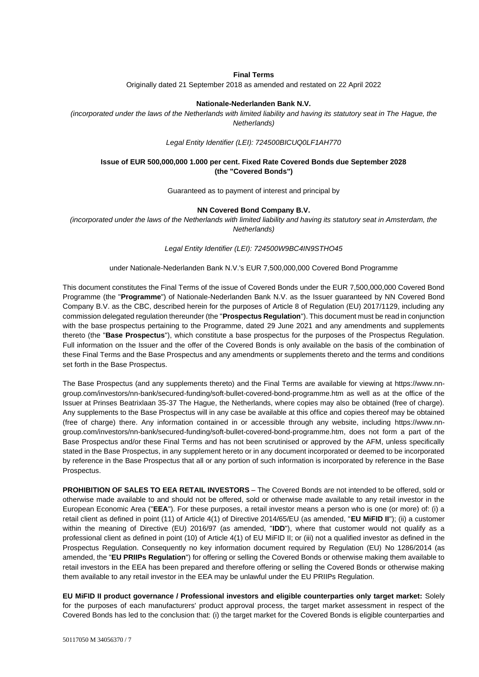### **Final Terms**

Originally dated 21 September 2018 as amended and restated on 22 April 2022

#### **Nationale-Nederlanden Bank N.V.**

*(incorporated under the laws of the Netherlands with limited liability and having its statutory seat in The Hague, the Netherlands)*

*Legal Entity Identifier (LEI): 724500BICUQ0LF1AH770*

### **Issue of EUR 500,000,000 1.000 per cent. Fixed Rate Covered Bonds due September 2028 (the "Covered Bonds")**

Guaranteed as to payment of interest and principal by

#### **NN Covered Bond Company B.V.**

*(incorporated under the laws of the Netherlands with limited liability and having its statutory seat in Amsterdam, the Netherlands)*

*Legal Entity Identifier (LEI): 724500W9BC4IN9STHO45*

#### under Nationale-Nederlanden Bank N.V.'s EUR 7,500,000,000 Covered Bond Programme

This document constitutes the Final Terms of the issue of Covered Bonds under the EUR 7,500,000,000 Covered Bond Programme (the "**Programme**") of Nationale-Nederlanden Bank N.V. as the Issuer guaranteed by NN Covered Bond Company B.V. as the CBC, described herein for the purposes of Article 8 of Regulation (EU) 2017/1129, including any commission delegated regulation thereunder (the "**Prospectus Regulation**"). This document must be read in conjunction with the base prospectus pertaining to the Programme, dated 29 June 2021 and any amendments and supplements thereto (the "**Base Prospectus**"), which constitute a base prospectus for the purposes of the Prospectus Regulation. Full information on the Issuer and the offer of the Covered Bonds is only available on the basis of the combination of these Final Terms and the Base Prospectus and any amendments or supplements thereto and the terms and conditions set forth in the Base Prospectus.

The Base Prospectus (and any supplements thereto) and the Final Terms are available for viewing at [https://www.nn](https://www.nn-group.com/investors/nn-bank/secured-funding/soft-bullet-covered-bond-programme.htm)[group.com/investors/nn-bank/secured-funding/soft-bullet-covered-bond-programme.htm](https://www.nn-group.com/investors/nn-bank/secured-funding/soft-bullet-covered-bond-programme.htm) as well as at the office of the Issuer at Prinses Beatrixlaan 35-37 The Hague, the Netherlands, where copies may also be obtained (free of charge). Any supplements to the Base Prospectus will in any case be available at this office and copies thereof may be obtained (free of charge) there. Any information contained in or accessible through any website, including [https://www.nn](https://www.nn-group.com/investors/nn-bank/secured-funding/soft-bullet-covered-bond-programme.htm)[group.com/investors/nn-bank/secured-funding/soft-bullet-covered-bond-programme.htm,](https://www.nn-group.com/investors/nn-bank/secured-funding/soft-bullet-covered-bond-programme.htm) does not form a part of the Base Prospectus and/or these Final Terms and has not been scrutinised or approved by the AFM, unless specifically stated in the Base Prospectus, in any supplement hereto or in any document incorporated or deemed to be incorporated by reference in the Base Prospectus that all or any portion of such information is incorporated by reference in the Base Prospectus.

**PROHIBITION OF SALES TO EEA RETAIL INVESTORS** – The Covered Bonds are not intended to be offered, sold or otherwise made available to and should not be offered, sold or otherwise made available to any retail investor in the European Economic Area ("**EEA**"). For these purposes, a retail investor means a person who is one (or more) of: (i) a retail client as defined in point (11) of Article 4(1) of Directive 2014/65/EU (as amended, "**EU MiFID II**"); (ii) a customer within the meaning of Directive (EU) 2016/97 (as amended, "**IDD**"), where that customer would not qualify as a professional client as defined in point (10) of Article 4(1) of EU MiFID II; or (iii) not a qualified investor as defined in the Prospectus Regulation. Consequently no key information document required by Regulation (EU) No 1286/2014 (as amended, the "**EU PRIIPs Regulation**") for offering or selling the Covered Bonds or otherwise making them available to retail investors in the EEA has been prepared and therefore offering or selling the Covered Bonds or otherwise making them available to any retail investor in the EEA may be unlawful under the EU PRIIPs Regulation.

**EU MiFID II product governance / Professional investors and eligible counterparties only target market:** Solely for the purposes of each manufacturers' product approval process, the target market assessment in respect of the Covered Bonds has led to the conclusion that: (i) the target market for the Covered Bonds is eligible counterparties and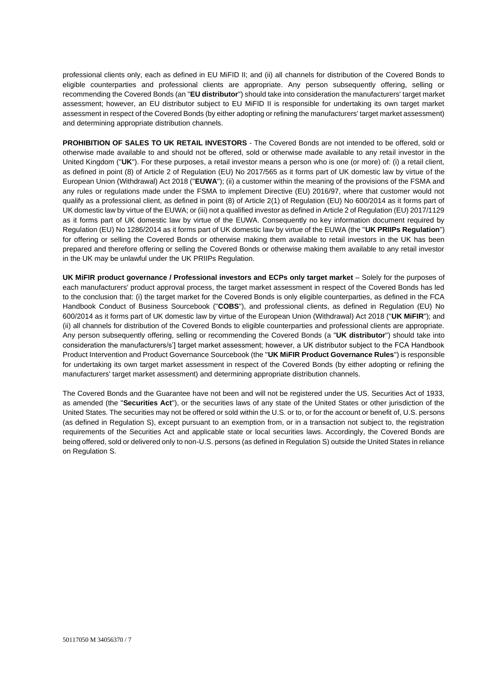professional clients only, each as defined in EU MiFID II; and (ii) all channels for distribution of the Covered Bonds to eligible counterparties and professional clients are appropriate. Any person subsequently offering, selling or recommending the Covered Bonds (an "**EU distributor**") should take into consideration the manufacturers' target market assessment; however, an EU distributor subject to EU MiFID II is responsible for undertaking its own target market assessment in respect of the Covered Bonds (by either adopting or refining the manufacturers' target market assessment) and determining appropriate distribution channels.

**PROHIBITION OF SALES TO UK RETAIL INVESTORS** - The Covered Bonds are not intended to be offered, sold or otherwise made available to and should not be offered, sold or otherwise made available to any retail investor in the United Kingdom ("**UK**"). For these purposes, a retail investor means a person who is one (or more) of: (i) a retail client, as defined in point (8) of Article 2 of Regulation (EU) No 2017/565 as it forms part of UK domestic law by virtue of the European Union (Withdrawal) Act 2018 ("**EUWA**"); (ii) a customer within the meaning of the provisions of the FSMA and any rules or regulations made under the FSMA to implement Directive (EU) 2016/97, where that customer would not qualify as a professional client, as defined in point (8) of Article 2(1) of Regulation (EU) No 600/2014 as it forms part of UK domestic law by virtue of the EUWA; or (iii) not a qualified investor as defined in Article 2 of Regulation (EU) 2017/1129 as it forms part of UK domestic law by virtue of the EUWA. Consequently no key information document required by Regulation (EU) No 1286/2014 as it forms part of UK domestic law by virtue of the EUWA (the "**UK PRIIPs Regulation**") for offering or selling the Covered Bonds or otherwise making them available to retail investors in the UK has been prepared and therefore offering or selling the Covered Bonds or otherwise making them available to any retail investor in the UK may be unlawful under the UK PRIIPs Regulation.

**UK MiFIR product governance / Professional investors and ECPs only target market** – Solely for the purposes of each manufacturers' product approval process, the target market assessment in respect of the Covered Bonds has led to the conclusion that: (i) the target market for the Covered Bonds is only eligible counterparties, as defined in the FCA Handbook Conduct of Business Sourcebook ("**COBS**"), and professional clients, as defined in Regulation (EU) No 600/2014 as it forms part of UK domestic law by virtue of the European Union (Withdrawal) Act 2018 ("**UK MiFIR**"); and (ii) all channels for distribution of the Covered Bonds to eligible counterparties and professional clients are appropriate. Any person subsequently offering, selling or recommending the Covered Bonds (a "**UK distributor**") should take into consideration the manufacturers/s'] target market assessment; however, a UK distributor subject to the FCA Handbook Product Intervention and Product Governance Sourcebook (the "**UK MiFIR Product Governance Rules**") is responsible for undertaking its own target market assessment in respect of the Covered Bonds (by either adopting or refining the manufacturers' target market assessment) and determining appropriate distribution channels.

The Covered Bonds and the Guarantee have not been and will not be registered under the US. Securities Act of 1933, as amended (the "**Securities Act**"), or the securities laws of any state of the United States or other jurisdiction of the United States. The securities may not be offered or sold within the U.S. or to, or for the account or benefit of, U.S. persons (as defined in Regulation S), except pursuant to an exemption from, or in a transaction not subject to, the registration requirements of the Securities Act and applicable state or local securities laws. Accordingly, the Covered Bonds are being offered, sold or delivered only to non-U.S. persons (as defined in Regulation S) outside the United States in reliance on Regulation S.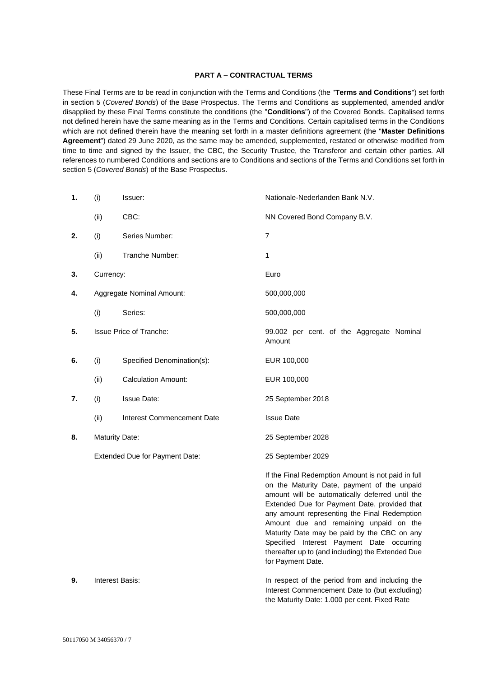### **PART A – CONTRACTUAL TERMS**

These Final Terms are to be read in conjunction with the Terms and Conditions (the "**Terms and Conditions**") set forth in section 5 (*Covered Bonds*) of the Base Prospectus. The Terms and Conditions as supplemented, amended and/or disapplied by these Final Terms constitute the conditions (the "**Conditions**") of the Covered Bonds. Capitalised terms not defined herein have the same meaning as in the Terms and Conditions. Certain capitalised terms in the Conditions which are not defined therein have the meaning set forth in a master definitions agreement (the "**Master Definitions Agreement**") dated 29 June 2020, as the same may be amended, supplemented, restated or otherwise modified from time to time and signed by the Issuer, the CBC, the Security Trustee, the Transferor and certain other parties. All references to numbered Conditions and sections are to Conditions and sections of the Terms and Conditions set forth in section 5 (*Covered Bonds*) of the Base Prospectus.

| 1. | (i)                            | Issuer:                           | Nationale-Nederlanden Bank N.V.                                                                                                                                                                                                                                                                                                                                                                                                                                      |
|----|--------------------------------|-----------------------------------|----------------------------------------------------------------------------------------------------------------------------------------------------------------------------------------------------------------------------------------------------------------------------------------------------------------------------------------------------------------------------------------------------------------------------------------------------------------------|
|    | (ii)                           | CBC:                              | NN Covered Bond Company B.V.                                                                                                                                                                                                                                                                                                                                                                                                                                         |
| 2. | (i)                            | Series Number:                    | 7                                                                                                                                                                                                                                                                                                                                                                                                                                                                    |
|    | (ii)                           | Tranche Number:                   | 1                                                                                                                                                                                                                                                                                                                                                                                                                                                                    |
| 3. | Currency:                      |                                   | Euro                                                                                                                                                                                                                                                                                                                                                                                                                                                                 |
| 4. | Aggregate Nominal Amount:      |                                   | 500,000,000                                                                                                                                                                                                                                                                                                                                                                                                                                                          |
|    | (i)                            | Series:                           | 500,000,000                                                                                                                                                                                                                                                                                                                                                                                                                                                          |
| 5. |                                | <b>Issue Price of Tranche:</b>    | 99.002 per cent. of the Aggregate Nominal<br>Amount                                                                                                                                                                                                                                                                                                                                                                                                                  |
| 6. | (i)                            | Specified Denomination(s):        | EUR 100,000                                                                                                                                                                                                                                                                                                                                                                                                                                                          |
|    | (ii)                           | <b>Calculation Amount:</b>        | EUR 100,000                                                                                                                                                                                                                                                                                                                                                                                                                                                          |
| 7. | (i)                            | <b>Issue Date:</b>                | 25 September 2018                                                                                                                                                                                                                                                                                                                                                                                                                                                    |
|    | (ii)                           | <b>Interest Commencement Date</b> | <b>Issue Date</b>                                                                                                                                                                                                                                                                                                                                                                                                                                                    |
| 8. | <b>Maturity Date:</b>          |                                   | 25 September 2028                                                                                                                                                                                                                                                                                                                                                                                                                                                    |
|    | Extended Due for Payment Date: |                                   | 25 September 2029                                                                                                                                                                                                                                                                                                                                                                                                                                                    |
|    |                                |                                   | If the Final Redemption Amount is not paid in full<br>on the Maturity Date, payment of the unpaid<br>amount will be automatically deferred until the<br>Extended Due for Payment Date, provided that<br>any amount representing the Final Redemption<br>Amount due and remaining unpaid on the<br>Maturity Date may be paid by the CBC on any<br>Specified Interest Payment Date occurring<br>thereafter up to (and including) the Extended Due<br>for Payment Date. |
| 9. | Interest Basis:                |                                   | In respect of the period from and including the<br>Interest Commencement Date to (but excluding)                                                                                                                                                                                                                                                                                                                                                                     |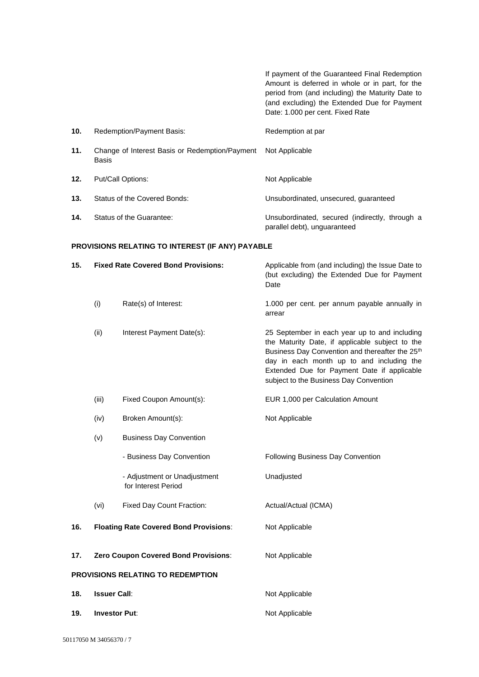If payment of the Guaranteed Final Redemption Amount is deferred in whole or in part, for the period from (and including) the Maturity Date to (and excluding) the Extended Due for Payment Date: 1.000 per cent. Fixed Rate **10.** Redemption/Payment Basis: Redemption at par **11.** Change of Interest Basis or Redemption/Payment Basis Not Applicable 12. Put/Call Options: Not Applicable **13.** Status of the Covered Bonds: Unsubordinated, unsecured, guaranteed **14.** Status of the Guarantee: Unsubordinated, secured (indirectly, through a parallel debt), unguaranteed

#### **PROVISIONS RELATING TO INTEREST (IF ANY) PAYABLE**

| 15. | <b>Fixed Rate Covered Bond Provisions:</b> |                                                     | Applicable from (and including) the Issue Date to<br>(but excluding) the Extended Due for Payment<br>Date                                                                                                                                                                                             |  |
|-----|--------------------------------------------|-----------------------------------------------------|-------------------------------------------------------------------------------------------------------------------------------------------------------------------------------------------------------------------------------------------------------------------------------------------------------|--|
|     | (i)                                        | Rate(s) of Interest:                                | 1.000 per cent. per annum payable annually in<br>arrear                                                                                                                                                                                                                                               |  |
|     | (ii)                                       | Interest Payment Date(s):                           | 25 September in each year up to and including<br>the Maturity Date, if applicable subject to the<br>Business Day Convention and thereafter the 25 <sup>th</sup><br>day in each month up to and including the<br>Extended Due for Payment Date if applicable<br>subject to the Business Day Convention |  |
|     | (iii)                                      | Fixed Coupon Amount(s):                             | EUR 1,000 per Calculation Amount                                                                                                                                                                                                                                                                      |  |
|     | (iv)                                       | Broken Amount(s):                                   | Not Applicable                                                                                                                                                                                                                                                                                        |  |
|     | (v)                                        | <b>Business Day Convention</b>                      |                                                                                                                                                                                                                                                                                                       |  |
|     |                                            | - Business Day Convention                           | Following Business Day Convention                                                                                                                                                                                                                                                                     |  |
|     |                                            | - Adjustment or Unadjustment<br>for Interest Period | Unadjusted                                                                                                                                                                                                                                                                                            |  |
|     | (vi)                                       | Fixed Day Count Fraction:                           | Actual/Actual (ICMA)                                                                                                                                                                                                                                                                                  |  |
| 16. |                                            | <b>Floating Rate Covered Bond Provisions:</b>       | Not Applicable                                                                                                                                                                                                                                                                                        |  |
| 17. | Zero Coupon Covered Bond Provisions:       |                                                     | Not Applicable                                                                                                                                                                                                                                                                                        |  |
|     | PROVISIONS RELATING TO REDEMPTION          |                                                     |                                                                                                                                                                                                                                                                                                       |  |
| 18. | <b>Issuer Call:</b>                        |                                                     | Not Applicable                                                                                                                                                                                                                                                                                        |  |
| 19. | <b>Investor Put:</b>                       |                                                     | Not Applicable                                                                                                                                                                                                                                                                                        |  |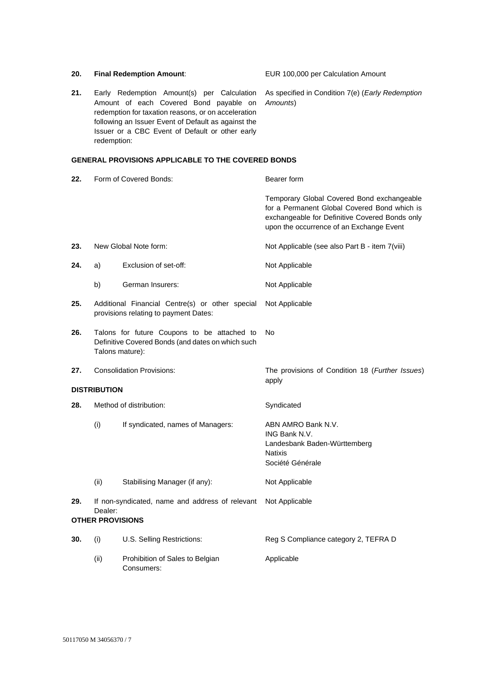| 20. |                                                            | <b>Final Redemption Amount:</b>                                                                                                                                                                                                                       | EUR 100,000 per Calculation Amount                                                                                                                                                       |  |
|-----|------------------------------------------------------------|-------------------------------------------------------------------------------------------------------------------------------------------------------------------------------------------------------------------------------------------------------|------------------------------------------------------------------------------------------------------------------------------------------------------------------------------------------|--|
| 21. | redemption:                                                | Early Redemption Amount(s) per Calculation<br>Amount of each Covered Bond payable on<br>redemption for taxation reasons, or on acceleration<br>following an Issuer Event of Default as against the<br>Issuer or a CBC Event of Default or other early | As specified in Condition 7(e) (Early Redemption<br>Amounts)                                                                                                                             |  |
|     |                                                            | <b>GENERAL PROVISIONS APPLICABLE TO THE COVERED BONDS</b>                                                                                                                                                                                             |                                                                                                                                                                                          |  |
| 22. |                                                            | Form of Covered Bonds:                                                                                                                                                                                                                                | Bearer form                                                                                                                                                                              |  |
|     |                                                            |                                                                                                                                                                                                                                                       | Temporary Global Covered Bond exchangeable<br>for a Permanent Global Covered Bond which is<br>exchangeable for Definitive Covered Bonds only<br>upon the occurrence of an Exchange Event |  |
| 23. |                                                            | New Global Note form:                                                                                                                                                                                                                                 | Not Applicable (see also Part B - item 7(viii)                                                                                                                                           |  |
| 24. | a)                                                         | Exclusion of set-off:                                                                                                                                                                                                                                 | Not Applicable                                                                                                                                                                           |  |
|     | b)                                                         | German Insurers:                                                                                                                                                                                                                                      | Not Applicable                                                                                                                                                                           |  |
| 25. |                                                            | Additional Financial Centre(s) or other special<br>provisions relating to payment Dates:                                                                                                                                                              | Not Applicable                                                                                                                                                                           |  |
| 26. | Talons mature):                                            | Talons for future Coupons to be attached to<br>Definitive Covered Bonds (and dates on which such                                                                                                                                                      | No                                                                                                                                                                                       |  |
| 27. | <b>Consolidation Provisions:</b>                           |                                                                                                                                                                                                                                                       | The provisions of Condition 18 (Further Issues)<br>apply                                                                                                                                 |  |
|     | <b>DISTRIBUTION</b>                                        |                                                                                                                                                                                                                                                       |                                                                                                                                                                                          |  |
| 28. | Method of distribution:                                    |                                                                                                                                                                                                                                                       | Syndicated                                                                                                                                                                               |  |
|     | (i)                                                        | If syndicated, names of Managers:                                                                                                                                                                                                                     | ABN AMRO Bank N.V.<br>ING Bank N.V.<br>Landesbank Baden-Württemberg<br><b>Natixis</b><br>Société Générale                                                                                |  |
|     | (ii)                                                       | Stabilising Manager (if any):                                                                                                                                                                                                                         | Not Applicable                                                                                                                                                                           |  |
| 29. | If non-syndicated, name and address of relevant<br>Dealer: |                                                                                                                                                                                                                                                       | Not Applicable                                                                                                                                                                           |  |
|     | <b>OTHER PROVISIONS</b>                                    |                                                                                                                                                                                                                                                       |                                                                                                                                                                                          |  |
| 30. | (i)                                                        | U.S. Selling Restrictions:                                                                                                                                                                                                                            | Reg S Compliance category 2, TEFRA D                                                                                                                                                     |  |
|     | (ii)                                                       | Prohibition of Sales to Belgian<br>Consumers:                                                                                                                                                                                                         | Applicable                                                                                                                                                                               |  |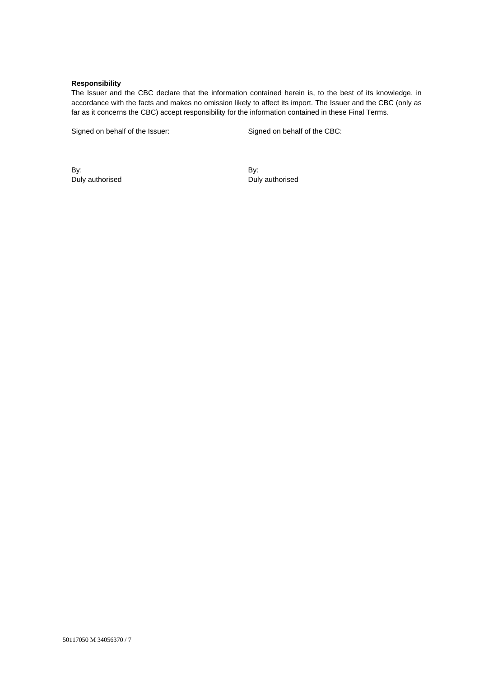## **Responsibility**

The Issuer and the CBC declare that the information contained herein is, to the best of its knowledge, in accordance with the facts and makes no omission likely to affect its import. The Issuer and the CBC (only as far as it concerns the CBC) accept responsibility for the information contained in these Final Terms.

Signed on behalf of the Issuer: Signed on behalf of the CBC:

By: Duly authorised By: Duly authorised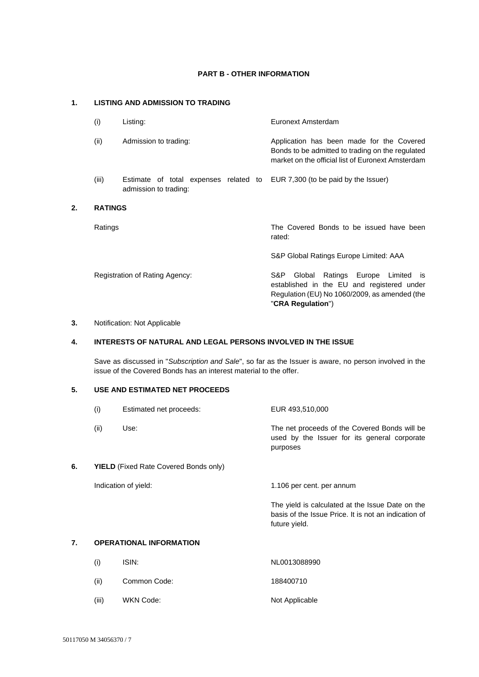# **PART B - OTHER INFORMATION**

# **1. LISTING AND ADMISSION TO TRADING**

| (i)            | Listing:                                                       | Euronext Amsterdam                                                                                                                                                   |
|----------------|----------------------------------------------------------------|----------------------------------------------------------------------------------------------------------------------------------------------------------------------|
| (ii)           | Admission to trading:                                          | Application has been made for the Covered<br>Bonds to be admitted to trading on the regulated<br>market on the official list of Euronext Amsterdam                   |
| (iii)          | Estimate of total expenses related to<br>admission to trading: | EUR 7,300 (to be paid by the Issuer)                                                                                                                                 |
| <b>RATINGS</b> |                                                                |                                                                                                                                                                      |
| Ratings        |                                                                | The Covered Bonds to be issued have been<br>rated:                                                                                                                   |
|                |                                                                | S&P Global Ratings Europe Limited: AAA                                                                                                                               |
|                | Registration of Rating Agency:                                 | S&P.<br>Global<br>Ratings Europe Limited<br>- IS<br>established in the EU and registered under<br>Regulation (EU) No 1060/2009, as amended (the<br>"CRA Regulation") |

# **3.** Notification: Not Applicable

**2. RATINGS**

# **4. INTERESTS OF NATURAL AND LEGAL PERSONS INVOLVED IN THE ISSUE**

Save as discussed in "*Subscription and Sale*", so far as the Issuer is aware, no person involved in the issue of the Covered Bonds has an interest material to the offer.

### **5. USE AND ESTIMATED NET PROCEEDS**

|    | (i)                                          | Estimated net proceeds: | EUR 493,510,000                                                                                                           |
|----|----------------------------------------------|-------------------------|---------------------------------------------------------------------------------------------------------------------------|
|    | (ii)                                         | Use:                    | The net proceeds of the Covered Bonds will be<br>used by the Issuer for its general corporate<br>purposes                 |
| 6. | <b>YIELD</b> (Fixed Rate Covered Bonds only) |                         |                                                                                                                           |
|    |                                              | Indication of yield:    | 1.106 per cent. per annum                                                                                                 |
|    |                                              |                         | The yield is calculated at the Issue Date on the<br>basis of the Issue Price. It is not an indication of<br>future yield. |
| 7. | <b>OPERATIONAL INFORMATION</b>               |                         |                                                                                                                           |
|    | (i)                                          | ISIN:                   | NL0013088990                                                                                                              |

(ii) Common Code: 188400710 (iii) WKN Code: Not Applicable